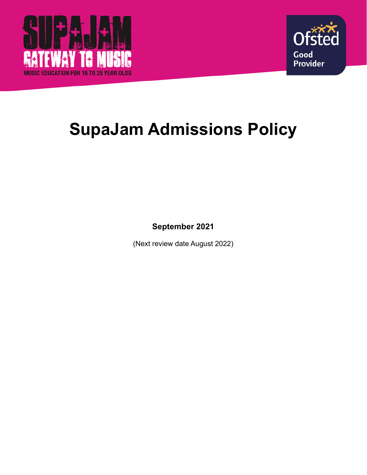



# **SupaJam Admissions Policy**

**September 2021**

(Next review date August 2022)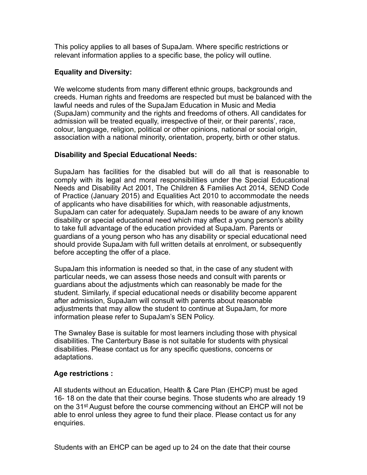This policy applies to all bases of SupaJam. Where specific restrictions or relevant information applies to a specific base, the policy will outline.

#### **Equality and Diversity:**

We welcome students from many different ethnic groups, backgrounds and creeds. Human rights and freedoms are respected but must be balanced with the lawful needs and rules of the SupaJam Education in Music and Media (SupaJam) community and the rights and freedoms of others. All candidates for admission will be treated equally, irrespective of their, or their parents', race, colour, language, religion, political or other opinions, national or social origin, association with a national minority, orientation, property, birth or other status.

## **Disability and Special Educational Needs:**

SupaJam has facilities for the disabled but will do all that is reasonable to comply with its legal and moral responsibilities under the Special Educational Needs and Disability Act 2001, The Children & Families Act 2014, SEND Code of Practice (January 2015) and Equalities Act 2010 to accommodate the needs of applicants who have disabilities for which, with reasonable adjustments, SupaJam can cater for adequately. SupaJam needs to be aware of any known disability or special educational need which may affect a young person's ability to take full advantage of the education provided at SupaJam. Parents or guardians of a young person who has any disability or special educational need should provide SupaJam with full written details at enrolment, or subsequently before accepting the offer of a place.

SupaJam this information is needed so that, in the case of any student with particular needs, we can assess those needs and consult with parents or guardians about the adjustments which can reasonably be made for the student. Similarly, if special educational needs or disability become apparent after admission, SupaJam will consult with parents about reasonable adjustments that may allow the student to continue at SupaJam, for more information please refer to SupaJam's SEN Policy.

The Swnaley Base is suitable for most learners including those with physical disabilities. The Canterbury Base is not suitable for students with physical disabilities. Please contact us for any specific questions, concerns or adaptations.

## **Age restrictions :**

All students without an Education, Health & Care Plan (EHCP) must be aged 16- 18 on the date that their course begins. Those students who are already 19 on the 31st August before the course commencing without an EHCP will not be able to enrol unless they agree to fund their place. Please contact us for any enquiries.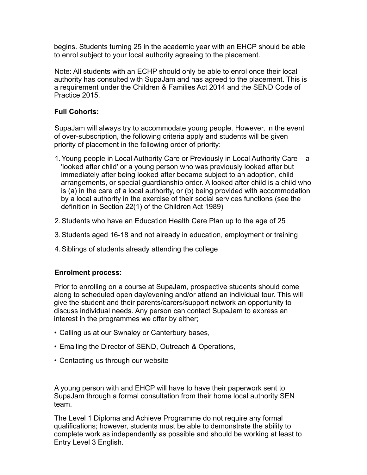begins. Students turning 25 in the academic year with an EHCP should be able to enrol subject to your local authority agreeing to the placement.

Note: All students with an ECHP should only be able to enrol once their local authority has consulted with SupaJam and has agreed to the placement. This is a requirement under the Children & Families Act 2014 and the SEND Code of Practice 2015.

### **Full Cohorts:**

SupaJam will always try to accommodate young people. However, in the event of over-subscription, the following criteria apply and students will be given priority of placement in the following order of priority:

- 1.Young people in Local Authority Care or Previously in Local Authority Care a 'looked after child' or a young person who was previously looked after but immediately after being looked after became subject to an adoption, child arrangements, or special guardianship order. A looked after child is a child who is (a) in the care of a local authority, or (b) being provided with accommodation by a local authority in the exercise of their social services functions (see the definition in Section 22(1) of the Children Act 1989)
- 2.Students who have an Education Health Care Plan up to the age of 25
- 3.Students aged 16-18 and not already in education, employment or training
- 4.Siblings of students already attending the college

#### **Enrolment process:**

Prior to enrolling on a course at SupaJam, prospective students should come along to scheduled open day/evening and/or attend an individual tour. This will give the student and their parents/carers/support network an opportunity to discuss individual needs. Any person can contact SupaJam to express an interest in the programmes we offer by either;

- Calling us at our Swnaley or Canterbury bases,
- Emailing the Director of SEND, Outreach & Operations,
- Contacting us through our website

A young person with and EHCP will have to have their paperwork sent to SupaJam through a formal consultation from their home local authority SEN team.

The Level 1 Diploma and Achieve Programme do not require any formal qualifications; however, students must be able to demonstrate the ability to complete work as independently as possible and should be working at least to Entry Level 3 English.